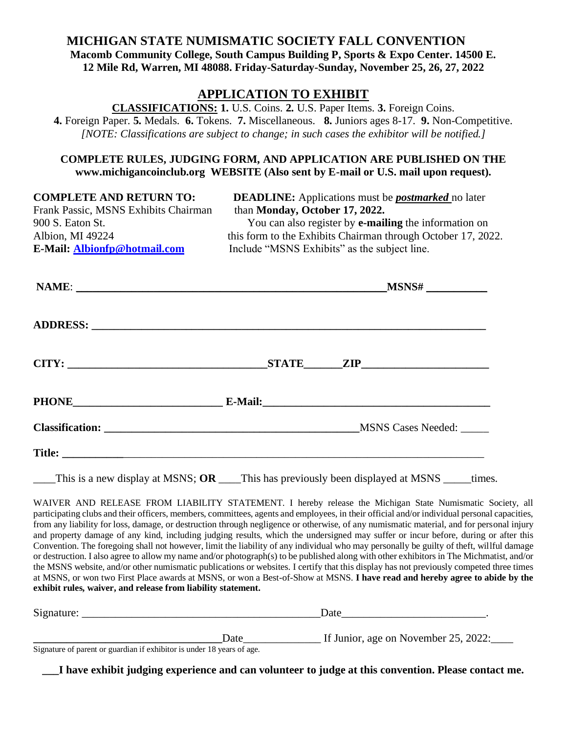# **MICHIGAN STATE NUMISMATIC SOCIETY FALL CONVENTION Macomb Community College, South Campus Building P, Sports & Expo Center. 14500 E. 12 Mile Rd, Warren, MI 48088. Friday-Saturday-Sunday, November 25, 26, 27, 2022**

## **APPLICATION TO EXHIBIT**

**CLASSIFICATIONS: 1.** U.S. Coins. **2.** U.S. Paper Items. **3.** Foreign Coins. **4.** Foreign Paper. **5.** Medals. **6.** Tokens. **7.** Miscellaneous. **8.** Juniors ages 8-17. **9.** Non-Competitive. *[NOTE: Classifications are subject to change; in such cases the exhibitor will be notified.]*

### **COMPLETE RULES, JUDGING FORM, AND APPLICATION ARE PUBLISHED ON THE www.michigancoinclub.org WEBSITE (Also sent by E-mail or U.S. mail upon request).**

Frank Passic, MSNS Exhibits Chairman than **Monday, October 17, 2022. E-Mail: [Albionfp@hotmail.com](mailto:Albionfp@hotmail.com)** Include "MSNS Exhibits" as the subject line.

**COMPLETE AND RETURN TO: DEADLINE:** Applications must be *postmarked* no later 900 S. Eaton St. You can also register by **e-mailing** the information on Albion, MI 49224 this form to the Exhibits Chairman through October 17, 2022.

|  | Classification: MSNS Cases Needed: MSNS Cases Needed:                                         |
|--|-----------------------------------------------------------------------------------------------|
|  |                                                                                               |
|  | This is a new display at MSNS; OR ____This has previously been displayed at MSNS _____ times. |

WAIVER AND RELEASE FROM LIABILITY STATEMENT. I hereby release the Michigan State Numismatic Society, all participating clubs and their officers, members, committees, agents and employees, in their official and/or individual personal capacities, from any liability for loss, damage, or destruction through negligence or otherwise, of any numismatic material, and for personal injury and property damage of any kind, including judging results, which the undersigned may suffer or incur before, during or after this Convention. The foregoing shall not however, limit the liability of any individual who may personally be guilty of theft, willful damage or destruction. I also agree to allow my name and/or photograph(s) to be published along with other exhibitors in The Michmatist, and/or the MSNS website, and/or other numismatic publications or websites. I certify that this display has not previously competed three times at MSNS, or won two First Place awards at MSNS, or won a Best-of-Show at MSNS. **I have read and hereby agree to abide by the** 

**exhibit rules, waiver, and release from liability statement.**

| Signature:                                                                                                                                                                                                                                                                                                                       |      | Date                                 |  |
|----------------------------------------------------------------------------------------------------------------------------------------------------------------------------------------------------------------------------------------------------------------------------------------------------------------------------------|------|--------------------------------------|--|
|                                                                                                                                                                                                                                                                                                                                  |      |                                      |  |
|                                                                                                                                                                                                                                                                                                                                  | Date | If Junior, age on November 25, 2022: |  |
| $\alpha$ and $\alpha$ and $\alpha$ and $\alpha$ and $\alpha$ and $\alpha$ and $\alpha$ and $\alpha$ and $\alpha$ and $\alpha$ and $\alpha$ and $\alpha$ and $\alpha$ and $\alpha$ and $\alpha$ and $\alpha$ and $\alpha$ and $\alpha$ and $\alpha$ and $\alpha$ and $\alpha$ and $\alpha$ and $\alpha$ and $\alpha$ and $\alpha$ |      |                                      |  |

Signature of parent or guardian if exhibitor is under 18 years of age.

**\_\_\_I have exhibit judging experience and can volunteer to judge at this convention. Please contact me.**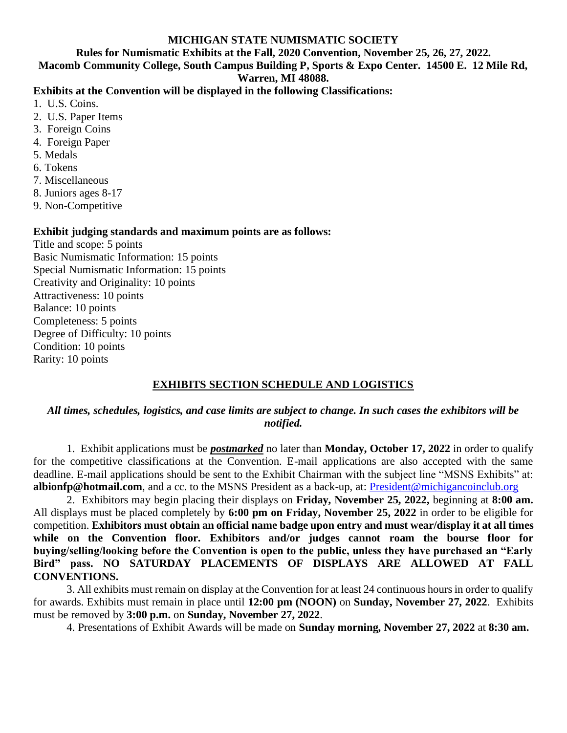#### **MICHIGAN STATE NUMISMATIC SOCIETY**

**Rules for Numismatic Exhibits at the Fall, 2020 Convention, November 25, 26, 27, 2022.**

**Macomb Community College, South Campus Building P, Sports & Expo Center. 14500 E. 12 Mile Rd, Warren, MI 48088.**

### **Exhibits at the Convention will be displayed in the following Classifications:**

- 1. U.S. Coins.
- 2. U.S. Paper Items
- 3. Foreign Coins
- 4. Foreign Paper
- 5. Medals
- 6. Tokens
- 7. Miscellaneous
- 8. Juniors ages 8-17
- 9. Non-Competitive

### **Exhibit judging standards and maximum points are as follows:**

Title and scope: 5 points Basic Numismatic Information: 15 points Special Numismatic Information: 15 points Creativity and Originality: 10 points Attractiveness: 10 points Balance: 10 points Completeness: 5 points Degree of Difficulty: 10 points Condition: 10 points Rarity: 10 points

## **EXHIBITS SECTION SCHEDULE AND LOGISTICS**

## *All times, schedules, logistics, and case limits are subject to change. In such cases the exhibitors will be notified.*

1. Exhibit applications must be *postmarked* no later than **Monday, October 17, 2022** in order to qualify for the competitive classifications at the Convention. E-mail applications are also accepted with the same deadline. E-mail applications should be sent to the Exhibit Chairman with the subject line "MSNS Exhibits" at: **albionfp@hotmail.com**, and a cc. to the MSNS President as a back-up, at: [President@michigancoinclub.org](mailto:President@michigancoinclub.org)

2. Exhibitors may begin placing their displays on **Friday, November 25, 2022,** beginning at **8:00 am.**  All displays must be placed completely by **6:00 pm on Friday, November 25, 2022** in order to be eligible for competition. **Exhibitors must obtain an official name badge upon entry and must wear/display it at all times while on the Convention floor. Exhibitors and/or judges cannot roam the bourse floor for buying/selling/looking before the Convention is open to the public, unless they have purchased an "Early Bird" pass. NO SATURDAY PLACEMENTS OF DISPLAYS ARE ALLOWED AT FALL CONVENTIONS.**

3. All exhibits must remain on display at the Convention for at least 24 continuous hours in order to qualify for awards. Exhibits must remain in place until **12:00 pm (NOON)** on **Sunday, November 27, 2022**. Exhibits must be removed by **3:00 p.m.** on **Sunday, November 27, 2022**.

4. Presentations of Exhibit Awards will be made on **Sunday morning, November 27, 2022** at **8:30 am.**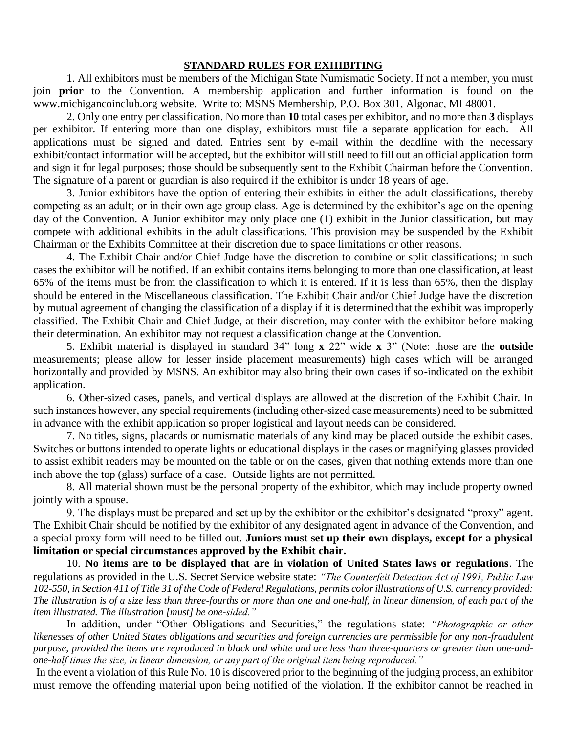#### **STANDARD RULES FOR EXHIBITING**

1. All exhibitors must be members of the Michigan State Numismatic Society. If not a member, you must join **prior** to the Convention. A membership application and further information is found on the www.michigancoinclub.org website. Write to: MSNS Membership, P.O. Box 301, Algonac, MI 48001.

2. Only one entry per classification. No more than **10** total cases per exhibitor, and no more than **3** displays per exhibitor. If entering more than one display, exhibitors must file a separate application for each. All applications must be signed and dated. Entries sent by e-mail within the deadline with the necessary exhibit/contact information will be accepted, but the exhibitor will still need to fill out an official application form and sign it for legal purposes; those should be subsequently sent to the Exhibit Chairman before the Convention. The signature of a parent or guardian is also required if the exhibitor is under 18 years of age.

3. Junior exhibitors have the option of entering their exhibits in either the adult classifications, thereby competing as an adult; or in their own age group class. Age is determined by the exhibitor's age on the opening day of the Convention. A Junior exhibitor may only place one (1) exhibit in the Junior classification, but may compete with additional exhibits in the adult classifications. This provision may be suspended by the Exhibit Chairman or the Exhibits Committee at their discretion due to space limitations or other reasons.

4. The Exhibit Chair and/or Chief Judge have the discretion to combine or split classifications; in such cases the exhibitor will be notified. If an exhibit contains items belonging to more than one classification, at least 65% of the items must be from the classification to which it is entered. If it is less than 65%, then the display should be entered in the Miscellaneous classification. The Exhibit Chair and/or Chief Judge have the discretion by mutual agreement of changing the classification of a display if it is determined that the exhibit was improperly classified. The Exhibit Chair and Chief Judge, at their discretion, may confer with the exhibitor before making their determination. An exhibitor may not request a classification change at the Convention.

5. Exhibit material is displayed in standard 34" long **x** 22" wide **x** 3" (Note: those are the **outside** measurements; please allow for lesser inside placement measurements) high cases which will be arranged horizontally and provided by MSNS. An exhibitor may also bring their own cases if so-indicated on the exhibit application.

6. Other-sized cases, panels, and vertical displays are allowed at the discretion of the Exhibit Chair. In such instances however, any special requirements (including other-sized case measurements) need to be submitted in advance with the exhibit application so proper logistical and layout needs can be considered.

7. No titles, signs, placards or numismatic materials of any kind may be placed outside the exhibit cases. Switches or buttons intended to operate lights or educational displays in the cases or magnifying glasses provided to assist exhibit readers may be mounted on the table or on the cases, given that nothing extends more than one inch above the top (glass) surface of a case. Outside lights are not permitted.

8. All material shown must be the personal property of the exhibitor, which may include property owned jointly with a spouse.

9. The displays must be prepared and set up by the exhibitor or the exhibitor's designated "proxy" agent. The Exhibit Chair should be notified by the exhibitor of any designated agent in advance of the Convention, and a special proxy form will need to be filled out. **Juniors must set up their own displays, except for a physical limitation or special circumstances approved by the Exhibit chair.** 

10. **No items are to be displayed that are in violation of United States laws or regulations**. The regulations as provided in the U.S. Secret Service website state: *"The Counterfeit Detection Act of 1991, Public Law 102-550, in Section 411 of Title 31 of the Code of Federal Regulations, permits color illustrations of U.S. currency provided: The illustration is of a size less than three-fourths or more than one and one-half, in linear dimension, of each part of the item illustrated. The illustration [must] be one-sided."* 

In addition, under "Other Obligations and Securities," the regulations state: *"Photographic or other likenesses of other United States obligations and securities and foreign currencies are permissible for any non-fraudulent purpose, provided the items are reproduced in black and white and are less than three-quarters or greater than one-andone-half times the size, in linear dimension, or any part of the original item being reproduced."*

In the event a violation of this Rule No. 10 is discovered prior to the beginning of the judging process, an exhibitor must remove the offending material upon being notified of the violation. If the exhibitor cannot be reached in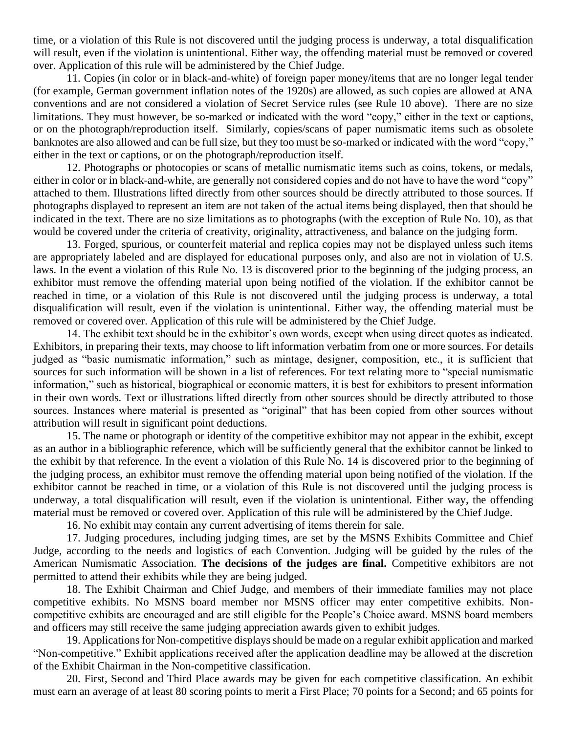time, or a violation of this Rule is not discovered until the judging process is underway, a total disqualification will result, even if the violation is unintentional. Either way, the offending material must be removed or covered over. Application of this rule will be administered by the Chief Judge.

11. Copies (in color or in black-and-white) of foreign paper money/items that are no longer legal tender (for example, German government inflation notes of the 1920s) are allowed, as such copies are allowed at ANA conventions and are not considered a violation of Secret Service rules (see Rule 10 above). There are no size limitations. They must however, be so-marked or indicated with the word "copy," either in the text or captions, or on the photograph/reproduction itself. Similarly, copies/scans of paper numismatic items such as obsolete banknotes are also allowed and can be full size, but they too must be so-marked or indicated with the word "copy," either in the text or captions, or on the photograph/reproduction itself.

12. Photographs or photocopies or scans of metallic numismatic items such as coins, tokens, or medals, either in color or in black-and-white, are generally not considered copies and do not have to have the word "copy" attached to them. Illustrations lifted directly from other sources should be directly attributed to those sources. If photographs displayed to represent an item are not taken of the actual items being displayed, then that should be indicated in the text. There are no size limitations as to photographs (with the exception of Rule No. 10), as that would be covered under the criteria of creativity, originality, attractiveness, and balance on the judging form.

13. Forged, spurious, or counterfeit material and replica copies may not be displayed unless such items are appropriately labeled and are displayed for educational purposes only, and also are not in violation of U.S. laws. In the event a violation of this Rule No. 13 is discovered prior to the beginning of the judging process, an exhibitor must remove the offending material upon being notified of the violation. If the exhibitor cannot be reached in time, or a violation of this Rule is not discovered until the judging process is underway, a total disqualification will result, even if the violation is unintentional. Either way, the offending material must be removed or covered over. Application of this rule will be administered by the Chief Judge.

14. The exhibit text should be in the exhibitor's own words, except when using direct quotes as indicated. Exhibitors, in preparing their texts, may choose to lift information verbatim from one or more sources. For details judged as "basic numismatic information," such as mintage, designer, composition, etc., it is sufficient that sources for such information will be shown in a list of references. For text relating more to "special numismatic information," such as historical, biographical or economic matters, it is best for exhibitors to present information in their own words. Text or illustrations lifted directly from other sources should be directly attributed to those sources. Instances where material is presented as "original" that has been copied from other sources without attribution will result in significant point deductions.

15. The name or photograph or identity of the competitive exhibitor may not appear in the exhibit, except as an author in a bibliographic reference, which will be sufficiently general that the exhibitor cannot be linked to the exhibit by that reference. In the event a violation of this Rule No. 14 is discovered prior to the beginning of the judging process, an exhibitor must remove the offending material upon being notified of the violation. If the exhibitor cannot be reached in time, or a violation of this Rule is not discovered until the judging process is underway, a total disqualification will result, even if the violation is unintentional. Either way, the offending material must be removed or covered over. Application of this rule will be administered by the Chief Judge.

16. No exhibit may contain any current advertising of items therein for sale.

17. Judging procedures, including judging times, are set by the MSNS Exhibits Committee and Chief Judge, according to the needs and logistics of each Convention. Judging will be guided by the rules of the American Numismatic Association. **The decisions of the judges are final.** Competitive exhibitors are not permitted to attend their exhibits while they are being judged.

18. The Exhibit Chairman and Chief Judge, and members of their immediate families may not place competitive exhibits. No MSNS board member nor MSNS officer may enter competitive exhibits. Noncompetitive exhibits are encouraged and are still eligible for the People's Choice award. MSNS board members and officers may still receive the same judging appreciation awards given to exhibit judges.

19. Applications for Non-competitive displays should be made on a regular exhibit application and marked "Non-competitive." Exhibit applications received after the application deadline may be allowed at the discretion of the Exhibit Chairman in the Non-competitive classification.

20. First, Second and Third Place awards may be given for each competitive classification. An exhibit must earn an average of at least 80 scoring points to merit a First Place; 70 points for a Second; and 65 points for